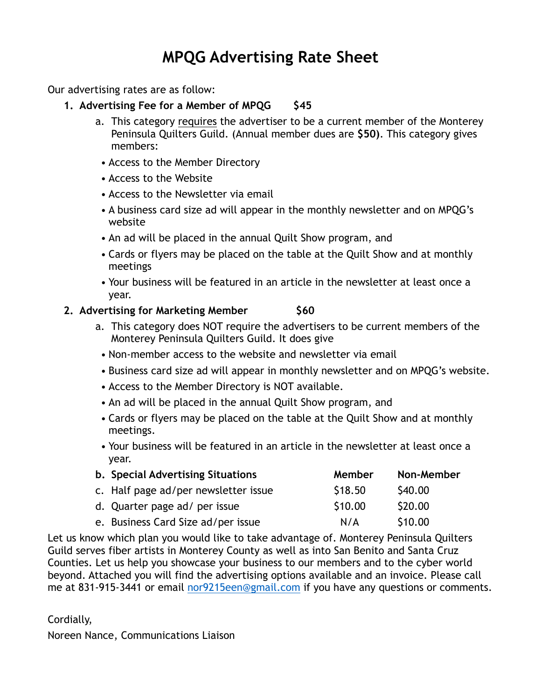## **MPQG Advertising Rate Sheet**

Our advertising rates are as follow:

- **1. Advertising Fee for a Member of MPQG \$45** 
	- a. This category requires the advertiser to be a current member of the Monterey Peninsula Quilters Guild. (Annual member dues are **\$50)**. This category gives members:
	- Access to the Member Directory
	- Access to the Website
	- Access to the Newsletter via email
	- A business card size ad will appear in the monthly newsletter and on MPQG's website
	- An ad will be placed in the annual Quilt Show program, and
	- Cards or flyers may be placed on the table at the Quilt Show and at monthly meetings
	- Your business will be featured in an article in the newsletter at least once a year.

## **2. Advertising for Marketing Member** \$60

- a. This category does NOT require the advertisers to be current members of the Monterey Peninsula Quilters Guild. It does give
- Non-member access to the website and newsletter via email
- Business card size ad will appear in monthly newsletter and on MPQG's website.
- Access to the Member Directory is NOT available.
- An ad will be placed in the annual Quilt Show program, and
- Cards or flyers may be placed on the table at the Quilt Show and at monthly meetings.
- Your business will be featured in an article in the newsletter at least once a year.

| <b>b.</b> Special Advertising Situations | Member  | Non-Member |
|------------------------------------------|---------|------------|
| c. Half page ad/per newsletter issue     | \$18.50 | S40.00     |
| d. Quarter page ad/ per issue            | \$10.00 | \$20.00    |
| e. Business Card Size ad/per issue       | N/A     | \$10.00    |

Let us know which plan you would like to take advantage of. Monterey Peninsula Quilters Guild serves fiber artists in Monterey County as well as into San Benito and Santa Cruz Counties. Let us help you showcase your business to our members and to the cyber world beyond. Attached you will find the advertising options available and an invoice. Please call me at 831-915-3441 or email [nor9215een@gmail.com](mailto:nor9215een@gmail.com) if you have any questions or comments.

Cordially,

Noreen Nance, Communications Liaison